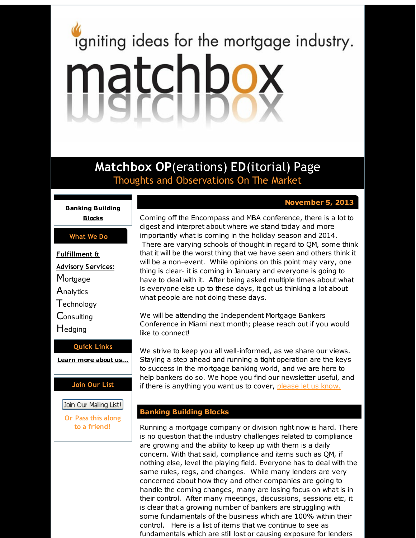# <span id="page-0-0"></span>igniting ideas for the mortgage industry. matchbox

**Matchbox OP**(erations) **ED**(itorial) Page Thoughts and Observations On The Market

# **November 5, 2013**

**Banking [Building](#page-0-0) Blocks**

### **What We Do**

- **Fulfillment & Advisory Services:**
- **Mortgage**
- **Analytics**
- **T**echnology
- **Consulting**
- **H**edging

# **Quick Links**

**[Learn](http://r20.rs6.net/tn.jsp?f=001kUz74APDkgh1X40eXrxzdSYqOo5OFlEirDYu2KqJ150x6VMaKVVLqlUOFN0wvglhVls-x6TDHcul4-GkSy76mLXb7X2VbmGBaD9FEjVxV4qOlPav-iOT_-M_t7jnx_AcjGCElLNMN8WDWKSSnYBdkCeDH9I9nQqev3UGR1m6Rjlsh2RSWF8G6w==&c=&ch=) more about u[s...](http://r20.rs6.net/tn.jsp?f=001kUz74APDkgh1X40eXrxzdSYqOo5OFlEirDYu2KqJ150x6VMaKVVLqlUOFN0wvglhVls-x6TDHcul4-GkSy76mLXb7X2VbmGBaD9FEjVxV4qOlPav-iOT_-M_t7jnx_AcjGCElLNMN8WDWKSSnYBdkCeDH9I9nQqev3UGR1m6Rjlsh2RSWF8G6w==&c=&ch=)**

# **Join Our List**

Join Our Mailing List!

**Or Pass this along to a friend!**

Coming off the Encompass and MBA conference, there is a lot to digest and interpret about where we stand today and more importantly what is coming in the holiday season and 2014. There are varying schools of thought in regard to QM, some think that it will be the worst thing that we have seen and others think it will be a non-event. While opinions on this point may vary, one thing is clear- it is coming in January and everyone is going to have to deal with it. After being asked multiple times about what is everyone else up to these days, it got us thinking a lot about what people are not doing these days.

We will be attending the Independent Mortgage Bankers Conference in Miami next month; please reach out if you would like to connect!

We strive to keep you all well-informed, as we share our views. Staying a step ahead and running a tight operation are the keys to success in the mortgage banking world, and we are here to help bankers do so. We hope you find our newsletter useful, and if there is anything you want us to cover, [please](http://r20.rs6.net/tn.jsp?f=001kUz74APDkgh1X40eXrxzdSYqOo5OFlEirDYu2KqJ150x6VMaKVVLqg7kY07eQ3iwlf3NM6bhAmyBD0lRtdO8GJpXLfgKkezkJqAa_jjdoE30eRdJolP61t4dHPCf06I7mgn7tN_WyaEEyDWAfYVwd-9wO20NNSq8v-11dUAKjfpIUAL6hmJ3Fhx7D4ngkoK1&c=&ch=) let us know.

# **Banking Building Blocks**

Running a mortgage company or division right now is hard. There is no question that the industry challenges related to compliance are growing and the ability to keep up with them is a daily concern. With that said, compliance and items such as QM, if nothing else, level the playing field. Everyone has to deal with the same rules, regs, and changes. While many lenders are very concerned about how they and other companies are going to handle the coming changes, many are losing focus on what is in their control. After many meetings, discussions, sessions etc, it is clear that a growing number of bankers are struggling with some fundamentals of the business which are 100% within their control. Here is a list of items that we continue to see as fundamentals which are still lost or causing exposure for lenders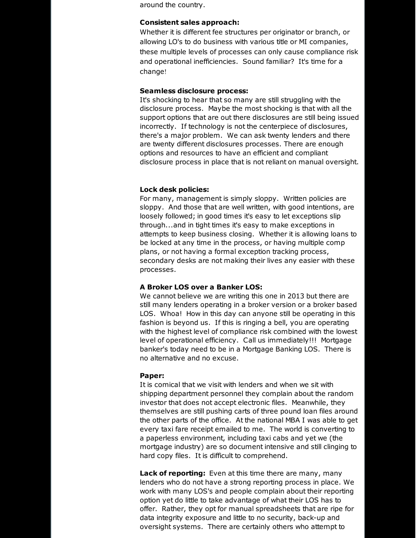around the country.

#### **Consistent sales approach:**

Whether it is different fee structures per originator or branch, or allowing LO's to do business with various title or MI companies, these multiple levels of processes can only cause compliance risk and operational inefficiencies. Sound familiar? It's time for a change!

#### **Seamless disclosure process:**

It's shocking to hear that so many are still struggling with the disclosure process. Maybe the most shocking is that with all the support options that are out there disclosures are still being issued incorrectly. If technology is not the centerpiece of disclosures, there's a major problem. We can ask twenty lenders and there are twenty different disclosures processes. There are enough options and resources to have an efficient and compliant disclosure process in place that is not reliant on manual oversight.

## **Lock desk policies:**

For many, management is simply sloppy. Written policies are sloppy. And those that are well written, with good intentions, are loosely followed; in good times it's easy to let exceptions slip through...and in tight times it's easy to make exceptions in attempts to keep business closing. Whether it is allowing loans to be locked at any time in the process, or having multiple comp plans, or not having a formal exception tracking process, secondary desks are not making their lives any easier with these processes.

#### **A Broker LOS over a Banker LOS:**

We cannot believe we are writing this one in 2013 but there are still many lenders operating in a broker version or a broker based LOS. Whoa! How in this day can anyone still be operating in this fashion is beyond us. If this is ringing a bell, you are operating with the highest level of compliance risk combined with the lowest level of operational efficiency. Call us immediately!!! Mortgage banker's today need to be in a Mortgage Banking LOS. There is no alternative and no excuse.

# **Paper:**

It is comical that we visit with lenders and when we sit with shipping department personnel they complain about the random investor that does not accept electronic files. Meanwhile, they themselves are still pushing carts of three pound loan files around the other parts of the office. At the national MBA I was able to get every taxi fare receipt emailed to me. The world is converting to a paperless environment, including taxi cabs and yet we (the mortgage industry) are so document intensive and still clinging to hard copy files. It is difficult to comprehend.

**Lack of reporting:** Even at this time there are many, many lenders who do not have a strong reporting process in place. We work with many LOS's and people complain about their reporting option yet do little to take advantage of what their LOS has to offer. Rather, they opt for manual spreadsheets that are ripe for data integrity exposure and little to no security, back-up and oversight systems. There are certainly others who attempt to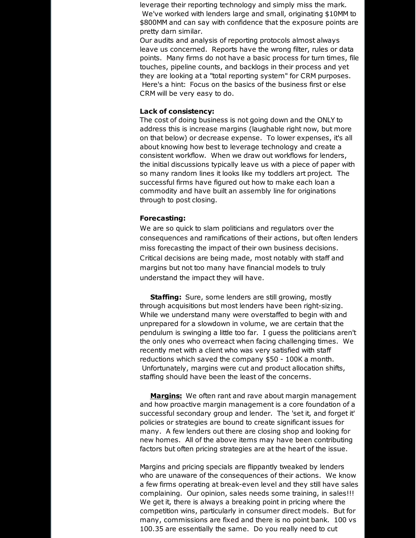leverage their reporting technology and simply miss the mark. We've worked with lenders large and small, originating \$10MM to \$800MM and can say with confidence that the exposure points are pretty darn similar.

Our audits and analysis of reporting protocols almost always leave us concerned. Reports have the wrong filter, rules or data points. Many firms do not have a basic process for turn times, file touches, pipeline counts, and backlogs in their process and yet they are looking at a "total reporting system" for CRM purposes. Here's a hint: Focus on the basics of the business first or else CRM will be very easy to do.

#### **Lack of consistency:**

The cost of doing business is not going down and the ONLY to address this is increase margins (laughable right now, but more on that below) or decrease expense. To lower expenses, it's all about knowing how best to leverage technology and create a consistent workflow. When we draw out workflows for lenders, the initial discussions typically leave us with a piece of paper with so many random lines it looks like my toddlers art project. The successful firms have figured out how to make each loan a commodity and have built an assembly line for originations through to post closing.

#### **Forecasting:**

We are so quick to slam politicians and regulators over the consequences and ramifications of their actions, but often lenders miss forecasting the impact of their own business decisions. Critical decisions are being made, most notably with staff and margins but not too many have financial models to truly understand the impact they will have.

**Staffing:** Sure, some lenders are still growing, mostly through acquisitions but most lenders have been right-sizing. While we understand many were overstaffed to begin with and unprepared for a slowdown in volume, we are certain that the pendulum is swinging a little too far. I guess the politicians aren't the only ones who overreact when facing challenging times. We recently met with a client who was very satisfied with staff reductions which saved the company \$50 - 100K a month. Unfortunately, margins were cut and product allocation shifts, staffing should have been the least of the concerns.

**Margins:** We often rant and rave about margin management and how proactive margin management is a core foundation of a successful secondary group and lender. The 'set it, and forget it' policies or strategies are bound to create significant issues for many. A few lenders out there are closing shop and looking for new homes. All of the above items may have been contributing factors but often pricing strategies are at the heart of the issue.

Margins and pricing specials are flippantly tweaked by lenders who are unaware of the consequences of their actions. We know a few firms operating at break-even level and they still have sales complaining. Our opinion, sales needs some training, in sales!!! We get it, there is always a breaking point in pricing where the competition wins, particularly in consumer direct models. But for many, commissions are fixed and there is no point bank. 100 vs 100.35 are essentially the same. Do you really need to cut